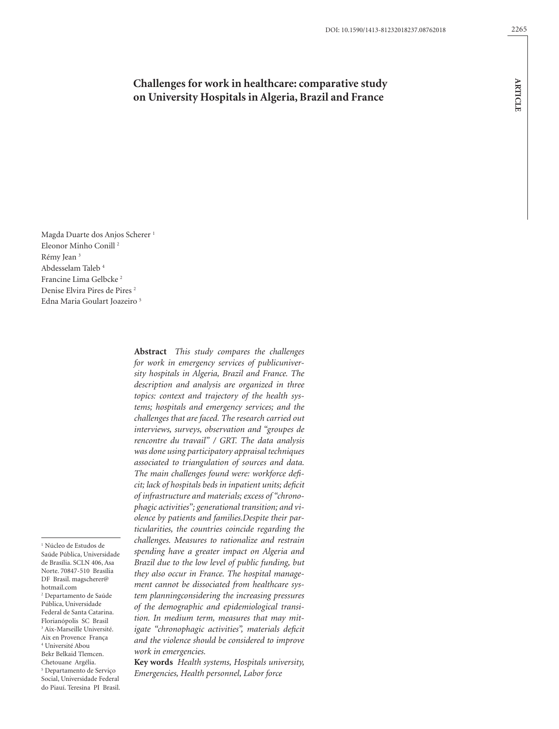**ARTICLE**

**ARTICLE** 

**Challenges for work in healthcare: comparative study on University Hospitals in Algeria, Brazil and France**

Magda Duarte dos Anjos Scherer<sup>1</sup> Eleonor Minho Conill 2 Rémy Jean<sup>3</sup> Abdesselam Taleb 4 Francine Lima Gelbcke 2 Denise Elvira Pires de Pires 2 Edna Maria Goulart Joazeiro 5

1 Núcleo de Estudos de Saúde Pública, Universidade de Brasília. SCLN 406, Asa Norte. 70847-510 Brasília DF Brasil. magscherer@ hotmail.com 2 Departamento de Saúde Pública, Universidade Federal de Santa Catarina. Florianópolis SC Brasil 3 Aix-Marseille Université. Aix en Provence França 4 Université Abou Bekr Belkaid Tlemcen. Chetouane Argélia. 5 Departamento de Serviço Social, Universidade Federal do Piauí. Teresina PI Brasil. *for work in emergency services of publicuniversity hospitals in Algeria, Brazil and France. The description and analysis are organized in three topics: context and trajectory of the health systems; hospitals and emergency services; and the challenges that are faced. The research carried out interviews, surveys, observation and "groupes de rencontre du travail" / GRT. The data analysis was done using participatory appraisal techniques associated to triangulation of sources and data. The main challenges found were: workforce deficit; lack of hospitals beds in inpatient units; deficit of infrastructure and materials; excess of "chronophagic activities"; generational transition; and violence by patients and families.Despite their particularities, the countries coincide regarding the challenges. Measures to rationalize and restrain spending have a greater impact on Algeria and Brazil due to the low level of public funding, but they also occur in France. The hospital management cannot be dissociated from healthcare system planningconsidering the increasing pressures of the demographic and epidemiological transition. In medium term, measures that may mitigate "chronophagic activities", materials deficit and the violence should be considered to improve work in emergencies.*

**Abstract** *This study compares the challenges* 

**Key words** *Health systems, Hospitals university, Emergencies, Health personnel, Labor force*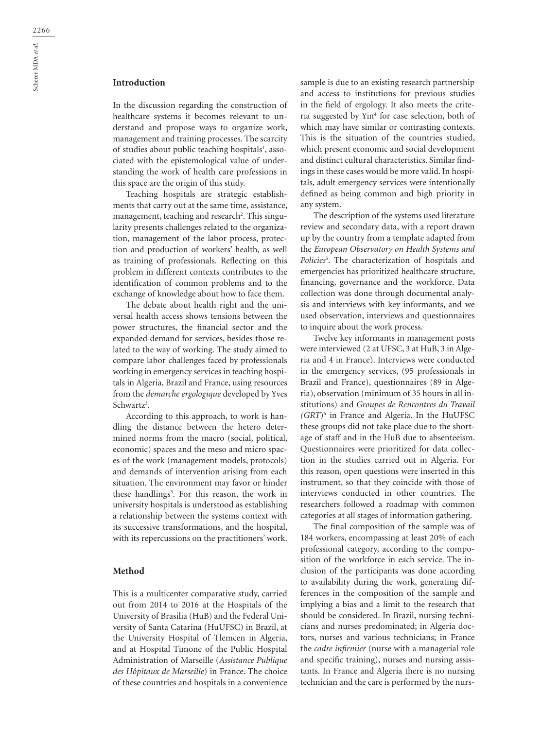# **Introduction**

In the discussion regarding the construction of healthcare systems it becomes relevant to understand and propose ways to organize work, management and training processes. The scarcity of studies about public teaching hospitals<sup>1</sup>, associated with the epistemological value of understanding the work of health care professions in this space are the origin of this study.

Teaching hospitals are strategic establishments that carry out at the same time, assistance, management, teaching and research<sup>2</sup>. This singularity presents challenges related to the organization, management of the labor process, protection and production of workers' health, as well as training of professionals. Reflecting on this problem in different contexts contributes to the identification of common problems and to the exchange of knowledge about how to face them.

The debate about health right and the universal health access shows tensions between the power structures, the financial sector and the expanded demand for services, besides those related to the way of working. The study aimed to compare labor challenges faced by professionals working in emergency services in teaching hospitals in Algeria, Brazil and France, using resources from the *demarche ergologique* developed by Yves Schwartz<sup>3</sup>.

According to this approach, to work is handling the distance between the hetero determined norms from the macro (social, political, economic) spaces and the meso and micro spaces of the work (management models, protocols) and demands of intervention arising from each situation. The environment may favor or hinder these handlings<sup>3</sup>. For this reason, the work in university hospitals is understood as establishing a relationship between the systems context with its successive transformations, and the hospital, with its repercussions on the practitioners' work.

### **Method**

This is a multicenter comparative study, carried out from 2014 to 2016 at the Hospitals of the University of Brasilia (HuB) and the Federal University of Santa Catarina (HuUFSC) in Brazil, at the University Hospital of Tlemcen in Algeria, and at Hospital Timone of the Public Hospital Administration of Marseille (*Assistance Publique des Hôpitaux de Marseille*) in France. The choice of these countries and hospitals in a convenience

sample is due to an existing research partnership and access to institutions for previous studies in the field of ergology. It also meets the criteria suggested by Yin<sup>4</sup> for case selection, both of which may have similar or contrasting contexts. This is the situation of the countries studied, which present economic and social development and distinct cultural characteristics. Similar findings in these cases would be more valid. In hospitals, adult emergency services were intentionally defined as being common and high priority in any system.

The description of the systems used literature review and secondary data, with a report drawn up by the country from a template adapted from the *European Observatory on Health Systems and Policies*<sup>5</sup> . The characterization of hospitals and emergencies has prioritized healthcare structure, financing, governance and the workforce. Data collection was done through documental analysis and interviews with key informants, and we used observation, interviews and questionnaires to inquire about the work process.

Twelve key informants in management posts were interviewed (2 at UFSC, 3 at HuB, 3 in Algeria and 4 in France). Interviews were conducted in the emergency services, (95 professionals in Brazil and France), questionnaires (89 in Algeria), observation (minimum of 35 hours in all institutions) and *Groupes de Rencontres du Travail (GRT*)6 in France and Algeria. In the HuUFSC these groups did not take place due to the shortage of staff and in the HuB due to absenteeism. Questionnaires were prioritized for data collection in the studies carried out in Algeria. For this reason, open questions were inserted in this instrument, so that they coincide with those of interviews conducted in other countries. The researchers followed a roadmap with common categories at all stages of information gathering.

The final composition of the sample was of 184 workers, encompassing at least 20% of each professional category, according to the composition of the workforce in each service. The inclusion of the participants was done according to availability during the work, generating differences in the composition of the sample and implying a bias and a limit to the research that should be considered. In Brazil, nursing technicians and nurses predominated; in Algeria doctors, nurses and various technicians; in France the *cadre infirmier* (nurse with a managerial role and specific training), nurses and nursing assistants. In France and Algeria there is no nursing technician and the care is performed by the nurs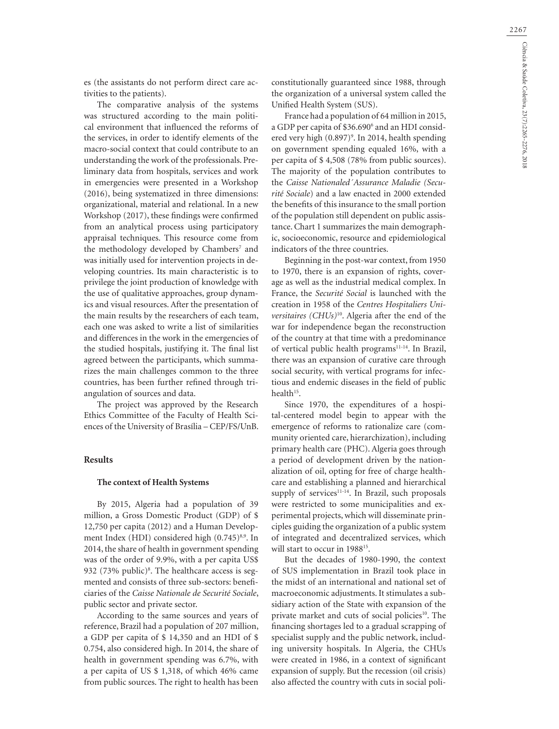es (the assistants do not perform direct care activities to the patients).

The comparative analysis of the systems was structured according to the main political environment that influenced the reforms of the services, in order to identify elements of the macro-social context that could contribute to an understanding the work of the professionals. Preliminary data from hospitals, services and work in emergencies were presented in a Workshop (2016), being systematized in three dimensions: organizational, material and relational. In a new Workshop (2017), these findings were confirmed from an analytical process using participatory appraisal techniques. This resource come from the methodology developed by Chambers<sup>7</sup> and was initially used for intervention projects in developing countries. Its main characteristic is to privilege the joint production of knowledge with the use of qualitative approaches, group dynamics and visual resources. After the presentation of the main results by the researchers of each team, each one was asked to write a list of similarities and differences in the work in the emergencies of the studied hospitals, justifying it. The final list agreed between the participants, which summarizes the main challenges common to the three countries, has been further refined through triangulation of sources and data.

The project was approved by the Research Ethics Committee of the Faculty of Health Sciences of the University of Brasília – CEP/FS/UnB.

## **Results**

### **The context of Health Systems**

By 2015, Algeria had a population of 39 million, a Gross Domestic Product (GDP) of \$ 12,750 per capita (2012) and a Human Development Index (HDI) considered high  $(0.745)^{8,9}$ . In 2014, the share of health in government spending was of the order of 9.9%, with a per capita US\$ 932 (73% public)<sup>8</sup>. The healthcare access is segmented and consists of three sub-sectors: beneficiaries of the *Caisse Nationale de Securité Sociale*, public sector and private sector.

According to the same sources and years of reference, Brazil had a population of 207 million, a GDP per capita of \$ 14,350 and an HDI of \$ 0.754, also considered high. In 2014, the share of health in government spending was 6.7%, with a per capita of US \$ 1,318, of which 46% came from public sources. The right to health has been constitutionally guaranteed since 1988, through the organization of a universal system called the Unified Health System (SUS).

France had a population of 64 million in 2015, a GDP per capita of \$36.6906 and an HDI considered very high (0.897)<sup>9</sup>. In 2014, health spending on government spending equaled 16%, with a per capita of \$ 4,508 (78% from public sources). The majority of the population contributes to the *Caisse Nationaled´Assurance Maladie (Securité Sociale*) and a law enacted in 2000 extended the benefits of this insurance to the small portion of the population still dependent on public assistance. Chart 1 summarizes the main demographic, socioeconomic, resource and epidemiological indicators of the three countries.

Beginning in the post-war context, from 1950 to 1970, there is an expansion of rights, coverage as well as the industrial medical complex. In France, the *Securité Social* is launched with the creation in 1958 of the *Centres Hospitaliers Universitaires (CHUs)*10. Algeria after the end of the war for independence began the reconstruction of the country at that time with a predominance of vertical public health programs<sup>11-14</sup>. In Brazil, there was an expansion of curative care through social security, with vertical programs for infectious and endemic diseases in the field of public health<sup>15</sup>.

Since 1970, the expenditures of a hospital-centered model begin to appear with the emergence of reforms to rationalize care (community oriented care, hierarchization), including primary health care (PHC). Algeria goes through a period of development driven by the nationalization of oil, opting for free of charge healthcare and establishing a planned and hierarchical supply of services $11-14$ . In Brazil, such proposals were restricted to some municipalities and experimental projects, which will disseminate principles guiding the organization of a public system of integrated and decentralized services, which will start to occur in 1988<sup>15</sup>.

But the decades of 1980-1990, the context of SUS implementation in Brazil took place in the midst of an international and national set of macroeconomic adjustments. It stimulates a subsidiary action of the State with expansion of the private market and cuts of social policies<sup>10</sup>. The financing shortages led to a gradual scrapping of specialist supply and the public network, including university hospitals. In Algeria, the CHUs were created in 1986, in a context of significant expansion of supply. But the recession (oil crisis) also affected the country with cuts in social poli-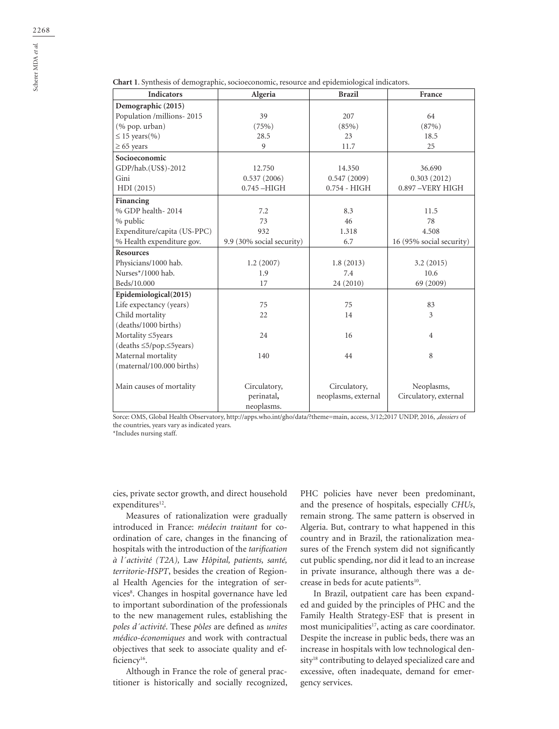| <b>Indicators</b>               | Algeria                   | <b>Brazil</b>       | France                   |
|---------------------------------|---------------------------|---------------------|--------------------------|
| Demographic (2015)              |                           |                     |                          |
| Population /millions-2015       | 39                        | 207                 | 64                       |
| (% pop. urban)                  | (75%)                     | (85%)               | (87%)                    |
| $\leq$ 15 years(%)              | 28.5                      | 23                  | 18.5                     |
| $\geq 65$ years                 | 9                         | 11.7                | 25                       |
| Socioeconomic                   |                           |                     |                          |
| GDP/hab.(US\$)-2012             | 12.750                    | 14.350              | 36.690                   |
| Gini                            | 0.537(2006)               | 0.547(2009)         | 0.303(2012)              |
| HDI (2015)                      | $0.745 - HIGH$            | $0.754 - HIGH$      | 0.897-VERY HIGH          |
| Financing                       |                           |                     |                          |
| % GDP health-2014               | 7.2                       | 8.3                 | 11.5                     |
| % public                        | 73                        | 46                  | 78                       |
| Expenditure/capita (US-PPC)     | 932                       | 1.318               | 4.508                    |
| % Health expenditure gov.       | 9.9 (30% social security) | 6.7                 | 16 (95% social security) |
| <b>Resources</b>                |                           |                     |                          |
| Physicians/1000 hab.            | 1.2(2007)                 | 1.8(2013)           | 3.2(2015)                |
| Nurses*/1000 hab.               | 1.9                       | 7.4                 | 10.6                     |
| Beds/10.000                     | 17                        | 24 (2010)           | 69 (2009)                |
| Epidemiological(2015)           |                           |                     |                          |
| Life expectancy (years)         | 75                        | 75                  | 83                       |
| Child mortality                 | 22                        | 14                  | 3                        |
| (deaths/1000 births)            |                           |                     |                          |
| Mortality <5years               | 24                        | 16                  | $\overline{4}$           |
| $(deaths \le 5/pop.\le 5years)$ |                           |                     |                          |
| Maternal mortality              | 140                       | 44                  | 8                        |
| (maternal/100.000 births)       |                           |                     |                          |
| Main causes of mortality        | Circulatory,              | Circulatory,        | Neoplasms,               |
|                                 | perinatal,                | neoplasms, external | Circulatory, external    |
|                                 | neoplasms.                |                     |                          |

**Chart 1**. Synthesis of demographic, socioeconomic, resource and epidemiological indicators.

Sorce: OMS, Global Health Observatory, http://apps.who.int/gho/data/?theme=main, access, 3/12;2017 UNDP, 2016, ,*dossiers* of the countries, years vary as indicated years.

\*Includes nursing staff.

cies, private sector growth, and direct household  $expenditures<sup>12</sup>$ .

Measures of rationalization were gradually introduced in France: *médecin traitant* for coordination of care, changes in the financing of hospitals with the introduction of the *tarification à l´activité (T2A),* Law *Hôpital, patients, santé, territorie-HSPT*, besides the creation of Regional Health Agencies for the integration of services<sup>8</sup>. Changes in hospital governance have led to important subordination of the professionals to the new management rules, establishing the *poles d´activité*. These *p*ô*les* are defined as *unites médico-économiques* and work with contractual objectives that seek to associate quality and efficiency<sup>16</sup>.

Although in France the role of general practitioner is historically and socially recognized, PHC policies have never been predominant, and the presence of hospitals, especially *CHUs*, remain strong. The same pattern is observed in Algeria. But, contrary to what happened in this country and in Brazil, the rationalization measures of the French system did not significantly cut public spending, nor did it lead to an increase in private insurance, although there was a decrease in beds for acute patients<sup>10</sup>.

In Brazil, outpatient care has been expanded and guided by the principles of PHC and the Family Health Strategy-ESF that is present in most municipalities<sup>17</sup>, acting as care coordinator. Despite the increase in public beds, there was an increase in hospitals with low technological density<sup>18</sup> contributing to delayed specialized care and excessive, often inadequate, demand for emergency services.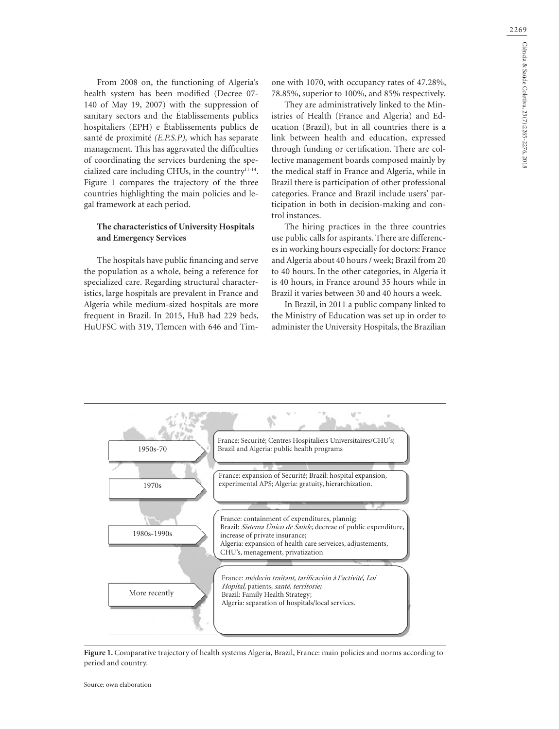From 2008 on, the functioning of Algeria's health system has been modified (Decree 07- 140 of May 19, 2007) with the suppression of sanitary sectors and the Établissements publics hospitaliers (EPH) e Établissements publics de santé de proximité *(E.P.S.P),* which has separate management. This has aggravated the difficulties of coordinating the services burdening the specialized care including CHUs, in the country<sup>11-14</sup>. Figure 1 compares the trajectory of the three countries highlighting the main policies and legal framework at each period.

## **The characteristics of University Hospitals and Emergency Services**

The hospitals have public financing and serve the population as a whole, being a reference for specialized care. Regarding structural characteristics, large hospitals are prevalent in France and Algeria while medium-sized hospitals are more frequent in Brazil. In 2015, HuB had 229 beds, HuUFSC with 319, Tlemcen with 646 and Timone with 1070, with occupancy rates of 47.28%, 78.85%, superior to 100%, and 85% respectively.

They are administratively linked to the Ministries of Health (France and Algeria) and Education (Brazil), but in all countries there is a link between health and education, expressed through funding or certification. There are collective management boards composed mainly by the medical staff in France and Algeria, while in Brazil there is participation of other professional categories. France and Brazil include users' participation in both in decision-making and control instances.

The hiring practices in the three countries use public calls for aspirants. There are differences in working hours especially for doctors: France and Algeria about 40 hours / week; Brazil from 20 to 40 hours. In the other categories, in Algeria it is 40 hours, in France around 35 hours while in Brazil it varies between 30 and 40 hours a week.

In Brazil, in 2011 a public company linked to the Ministry of Education was set up in order to administer the University Hospitals, the Brazilian



**Figure 1.** Comparative trajectory of health systems Algeria, Brazil, France: main policies and norms according to period and country.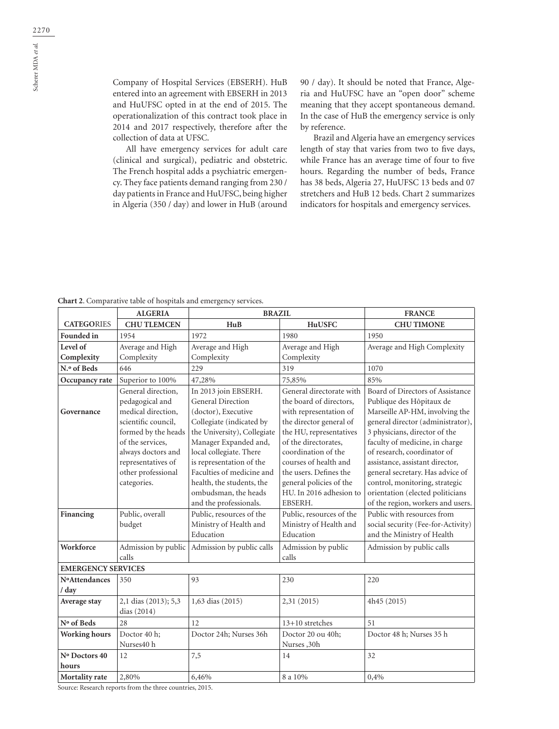Company of Hospital Services (EBSERH). HuB entered into an agreement with EBSERH in 2013 and HuUFSC opted in at the end of 2015. The operationalization of this contract took place in 2014 and 2017 respectively, therefore after the collection of data at UFSC.

All have emergency services for adult care (clinical and surgical), pediatric and obstetric. The French hospital adds a psychiatric emergency. They face patients demand ranging from 230 / day patients in France and HuUFSC, being higher in Algeria (350 / day) and lower in HuB (around

90 / day). It should be noted that France, Algeria and HuUFSC have an "open door" scheme meaning that they accept spontaneous demand. In the case of HuB the emergency service is only by reference.

Brazil and Algeria have an emergency services length of stay that varies from two to five days, while France has an average time of four to five hours. Regarding the number of beds, France has 38 beds, Algeria 27, HuUFSC 13 beds and 07 stretchers and HuB 12 beds. Chart 2 summarizes indicators for hospitals and emergency services.

**Chart 2**. Comparative table of hospitals and emergency services.

|                               | <b>ALGERIA</b>                                                                                                                                                                                                 | <b>BRAZIL</b>                                                                                                                                                                                                                                                                                                           |                                                                                                                                                                                                                                                                                                        | <b>FRANCE</b>                                                                                                                                                                                                                                                                                                                                                                                                           |  |
|-------------------------------|----------------------------------------------------------------------------------------------------------------------------------------------------------------------------------------------------------------|-------------------------------------------------------------------------------------------------------------------------------------------------------------------------------------------------------------------------------------------------------------------------------------------------------------------------|--------------------------------------------------------------------------------------------------------------------------------------------------------------------------------------------------------------------------------------------------------------------------------------------------------|-------------------------------------------------------------------------------------------------------------------------------------------------------------------------------------------------------------------------------------------------------------------------------------------------------------------------------------------------------------------------------------------------------------------------|--|
| <b>CATEGORIES</b>             | <b>CHU TLEMCEN</b>                                                                                                                                                                                             | HuB                                                                                                                                                                                                                                                                                                                     | <b>HuUSFC</b>                                                                                                                                                                                                                                                                                          | <b>CHU TIMONE</b>                                                                                                                                                                                                                                                                                                                                                                                                       |  |
| <b>Founded</b> in             | 1954                                                                                                                                                                                                           | 1972                                                                                                                                                                                                                                                                                                                    | 1980                                                                                                                                                                                                                                                                                                   | 1950                                                                                                                                                                                                                                                                                                                                                                                                                    |  |
| Level of                      | Average and High                                                                                                                                                                                               | Average and High                                                                                                                                                                                                                                                                                                        | Average and High                                                                                                                                                                                                                                                                                       | Average and High Complexity                                                                                                                                                                                                                                                                                                                                                                                             |  |
| Complexity                    | Complexity                                                                                                                                                                                                     | Complexity                                                                                                                                                                                                                                                                                                              | Complexity                                                                                                                                                                                                                                                                                             |                                                                                                                                                                                                                                                                                                                                                                                                                         |  |
| N.º of Beds                   | 646                                                                                                                                                                                                            | 229                                                                                                                                                                                                                                                                                                                     | 319                                                                                                                                                                                                                                                                                                    | 1070                                                                                                                                                                                                                                                                                                                                                                                                                    |  |
| Occupancy rate                | Superior to 100%                                                                                                                                                                                               | 47,28%                                                                                                                                                                                                                                                                                                                  | 75,85%                                                                                                                                                                                                                                                                                                 | 85%                                                                                                                                                                                                                                                                                                                                                                                                                     |  |
| Governance                    | General direction,<br>pedagogical and<br>medical direction,<br>scientific council.<br>formed by the heads<br>of the services,<br>always doctors and<br>representatives of<br>other professional<br>categories. | In 2013 join EBSERH.<br>General Direction<br>(doctor), Executive<br>Collegiate (indicated by<br>the University), Collegiate<br>Manager Expanded and,<br>local collegiate. There<br>is representation of the<br>Faculties of medicine and<br>health, the students, the<br>ombudsman, the heads<br>and the professionals. | General directorate with<br>the board of directors,<br>with representation of<br>the director general of<br>the HU, representatives<br>of the directorates,<br>coordination of the<br>courses of health and<br>the users. Defines the<br>general policies of the<br>HU. In 2016 adhesion to<br>EBSERH. | Board of Directors of Assistance<br>Publique des Hôpitaux de<br>Marseille AP-HM, involving the<br>general director (administrator),<br>3 physicians, director of the<br>faculty of medicine, in charge<br>of research, coordinator of<br>assistance, assistant director,<br>general secretary. Has advice of<br>control, monitoring, strategic<br>orientation (elected politicians<br>of the region, workers and users. |  |
| Financing                     | Public, overall<br>budget                                                                                                                                                                                      | Public, resources of the<br>Ministry of Health and<br>Education                                                                                                                                                                                                                                                         | Public, resources of the<br>Ministry of Health and<br>Education                                                                                                                                                                                                                                        | Public with resources from<br>social security (Fee-for-Activity)<br>and the Ministry of Health                                                                                                                                                                                                                                                                                                                          |  |
| Workforce                     | calls                                                                                                                                                                                                          | Admission by public   Admission by public calls                                                                                                                                                                                                                                                                         | Admission by public<br>calls                                                                                                                                                                                                                                                                           | Admission by public calls                                                                                                                                                                                                                                                                                                                                                                                               |  |
| <b>EMERGENCY SERVICES</b>     |                                                                                                                                                                                                                |                                                                                                                                                                                                                                                                                                                         |                                                                                                                                                                                                                                                                                                        |                                                                                                                                                                                                                                                                                                                                                                                                                         |  |
| <b>NºAttendances</b><br>/ day | 350                                                                                                                                                                                                            | 93                                                                                                                                                                                                                                                                                                                      | 230                                                                                                                                                                                                                                                                                                    | 220                                                                                                                                                                                                                                                                                                                                                                                                                     |  |
| Average stay                  | 2,1 dias (2013); 5,3<br>dias $(2014)$                                                                                                                                                                          | 1,63 dias (2015)                                                                                                                                                                                                                                                                                                        | 2,31 (2015)                                                                                                                                                                                                                                                                                            | 4h45 (2015)                                                                                                                                                                                                                                                                                                                                                                                                             |  |
| Nº of Beds                    | 28                                                                                                                                                                                                             | 12                                                                                                                                                                                                                                                                                                                      | 13+10 stretches                                                                                                                                                                                                                                                                                        | 51                                                                                                                                                                                                                                                                                                                                                                                                                      |  |
| <b>Working</b> hours          | Doctor 40 h;<br>Nurses40 h                                                                                                                                                                                     | Doctor 24h; Nurses 36h                                                                                                                                                                                                                                                                                                  | Doctor 20 ou 40h;<br>Nurses, 30h                                                                                                                                                                                                                                                                       | Doctor 48 h; Nurses 35 h                                                                                                                                                                                                                                                                                                                                                                                                |  |
| Nº Doctors 40<br>hours        | 12                                                                                                                                                                                                             | 7,5                                                                                                                                                                                                                                                                                                                     | 14                                                                                                                                                                                                                                                                                                     | 32                                                                                                                                                                                                                                                                                                                                                                                                                      |  |
| Mortality rate                | 2,80%                                                                                                                                                                                                          | 6,46%                                                                                                                                                                                                                                                                                                                   | 8 a 10%                                                                                                                                                                                                                                                                                                | 0,4%                                                                                                                                                                                                                                                                                                                                                                                                                    |  |

Source: Research reports from the three countries, 2015.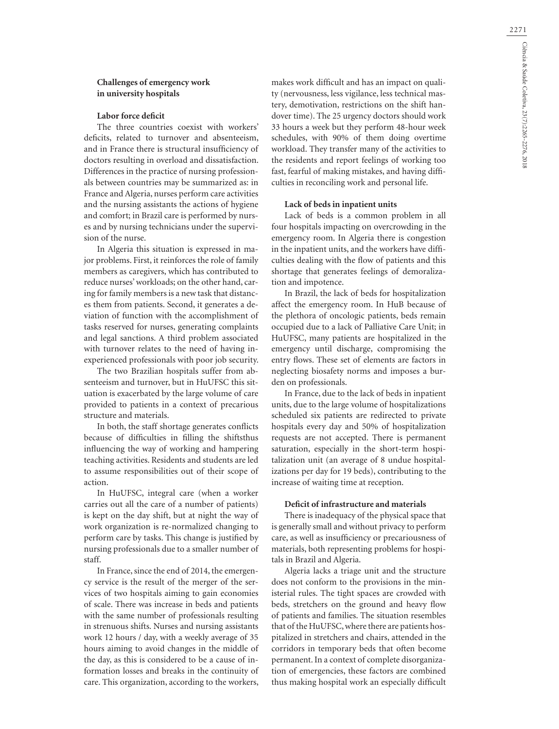## **Challenges of emergency work in university hospitals**

### **Labor force deficit**

The three countries coexist with workers' deficits, related to turnover and absenteeism, and in France there is structural insufficiency of doctors resulting in overload and dissatisfaction. Differences in the practice of nursing professionals between countries may be summarized as: in France and Algeria, nurses perform care activities and the nursing assistants the actions of hygiene and comfort; in Brazil care is performed by nurses and by nursing technicians under the supervision of the nurse.

In Algeria this situation is expressed in major problems. First, it reinforces the role of family members as caregivers, which has contributed to reduce nurses' workloads; on the other hand, caring for family members is a new task that distances them from patients. Second, it generates a deviation of function with the accomplishment of tasks reserved for nurses, generating complaints and legal sanctions. A third problem associated with turnover relates to the need of having inexperienced professionals with poor job security.

The two Brazilian hospitals suffer from absenteeism and turnover, but in HuUFSC this situation is exacerbated by the large volume of care provided to patients in a context of precarious structure and materials.

In both, the staff shortage generates conflicts because of difficulties in filling the shiftsthus influencing the way of working and hampering teaching activities. Residents and students are led to assume responsibilities out of their scope of action.

In HuUFSC, integral care (when a worker carries out all the care of a number of patients) is kept on the day shift, but at night the way of work organization is re-normalized changing to perform care by tasks. This change is justified by nursing professionals due to a smaller number of staff.

In France, since the end of 2014, the emergency service is the result of the merger of the services of two hospitals aiming to gain economies of scale. There was increase in beds and patients with the same number of professionals resulting in strenuous shifts. Nurses and nursing assistants work 12 hours / day, with a weekly average of 35 hours aiming to avoid changes in the middle of the day, as this is considered to be a cause of information losses and breaks in the continuity of care. This organization, according to the workers, makes work difficult and has an impact on quality (nervousness, less vigilance, less technical mastery, demotivation, restrictions on the shift handover time). The 25 urgency doctors should work 33 hours a week but they perform 48-hour week schedules, with 90% of them doing overtime workload. They transfer many of the activities to the residents and report feelings of working too fast, fearful of making mistakes, and having difficulties in reconciling work and personal life.

## **Lack of beds in inpatient units**

Lack of beds is a common problem in all four hospitals impacting on overcrowding in the emergency room. In Algeria there is congestion in the inpatient units, and the workers have difficulties dealing with the flow of patients and this shortage that generates feelings of demoralization and impotence.

In Brazil, the lack of beds for hospitalization affect the emergency room. In HuB because of the plethora of oncologic patients, beds remain occupied due to a lack of Palliative Care Unit; in HuUFSC, many patients are hospitalized in the emergency until discharge, compromising the entry flows. These set of elements are factors in neglecting biosafety norms and imposes a burden on professionals.

In France, due to the lack of beds in inpatient units, due to the large volume of hospitalizations scheduled six patients are redirected to private hospitals every day and 50% of hospitalization requests are not accepted. There is permanent saturation, especially in the short-term hospitalization unit (an average of 8 undue hospitalizations per day for 19 beds), contributing to the increase of waiting time at reception.

### **Deficit of infrastructure and materials**

There is inadequacy of the physical space that is generally small and without privacy to perform care, as well as insufficiency or precariousness of materials, both representing problems for hospitals in Brazil and Algeria.

Algeria lacks a triage unit and the structure does not conform to the provisions in the ministerial rules. The tight spaces are crowded with beds, stretchers on the ground and heavy flow of patients and families. The situation resembles that of the HuUFSC, where there are patients hospitalized in stretchers and chairs, attended in the corridors in temporary beds that often become permanent. In a context of complete disorganization of emergencies, these factors are combined thus making hospital work an especially difficult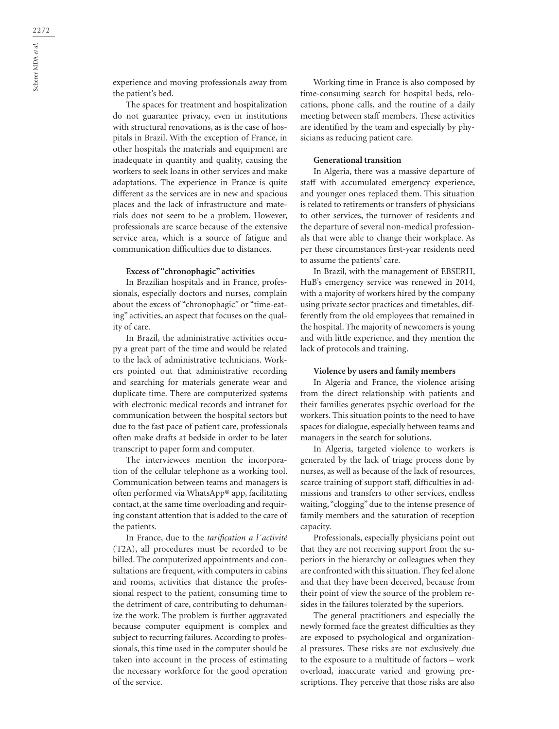experience and moving professionals away from the patient's bed.

The spaces for treatment and hospitalization do not guarantee privacy, even in institutions with structural renovations, as is the case of hospitals in Brazil. With the exception of France, in other hospitals the materials and equipment are inadequate in quantity and quality, causing the workers to seek loans in other services and make adaptations. The experience in France is quite different as the services are in new and spacious places and the lack of infrastructure and materials does not seem to be a problem. However, professionals are scarce because of the extensive service area, which is a source of fatigue and communication difficulties due to distances.

### **Excess of "chronophagic" activities**

In Brazilian hospitals and in France, professionals, especially doctors and nurses, complain about the excess of "chronophagic" or "time-eating" activities, an aspect that focuses on the quality of care.

In Brazil, the administrative activities occupy a great part of the time and would be related to the lack of administrative technicians. Workers pointed out that administrative recording and searching for materials generate wear and duplicate time. There are computerized systems with electronic medical records and intranet for communication between the hospital sectors but due to the fast pace of patient care, professionals often make drafts at bedside in order to be later transcript to paper form and computer.

The interviewees mention the incorporation of the cellular telephone as a working tool. Communication between teams and managers is often performed via WhatsApp® app, facilitating contact, at the same time overloading and requiring constant attention that is added to the care of the patients.

In France, due to the *tarification a l´activité*  (T2A), all procedures must be recorded to be billed. The computerized appointments and consultations are frequent, with computers in cabins and rooms, activities that distance the professional respect to the patient, consuming time to the detriment of care, contributing to dehumanize the work. The problem is further aggravated because computer equipment is complex and subject to recurring failures. According to professionals, this time used in the computer should be taken into account in the process of estimating the necessary workforce for the good operation of the service.

Working time in France is also composed by time-consuming search for hospital beds, relocations, phone calls, and the routine of a daily meeting between staff members. These activities are identified by the team and especially by physicians as reducing patient care.

### **Generational transition**

In Algeria, there was a massive departure of staff with accumulated emergency experience, and younger ones replaced them. This situation is related to retirements or transfers of physicians to other services, the turnover of residents and the departure of several non-medical professionals that were able to change their workplace. As per these circumstances first-year residents need to assume the patients' care.

In Brazil, with the management of EBSERH, HuB's emergency service was renewed in 2014, with a majority of workers hired by the company using private sector practices and timetables, differently from the old employees that remained in the hospital. The majority of newcomers is young and with little experience, and they mention the lack of protocols and training.

#### **Violence by users and family members**

In Algeria and France, the violence arising from the direct relationship with patients and their families generates psychic overload for the workers. This situation points to the need to have spaces for dialogue, especially between teams and managers in the search for solutions.

In Algeria, targeted violence to workers is generated by the lack of triage process done by nurses, as well as because of the lack of resources, scarce training of support staff, difficulties in admissions and transfers to other services, endless waiting, "clogging" due to the intense presence of family members and the saturation of reception capacity.

Professionals, especially physicians point out that they are not receiving support from the superiors in the hierarchy or colleagues when they are confronted with this situation. They feel alone and that they have been deceived, because from their point of view the source of the problem resides in the failures tolerated by the superiors.

The general practitioners and especially the newly formed face the greatest difficulties as they are exposed to psychological and organizational pressures. These risks are not exclusively due to the exposure to a multitude of factors – work overload, inaccurate varied and growing prescriptions. They perceive that those risks are also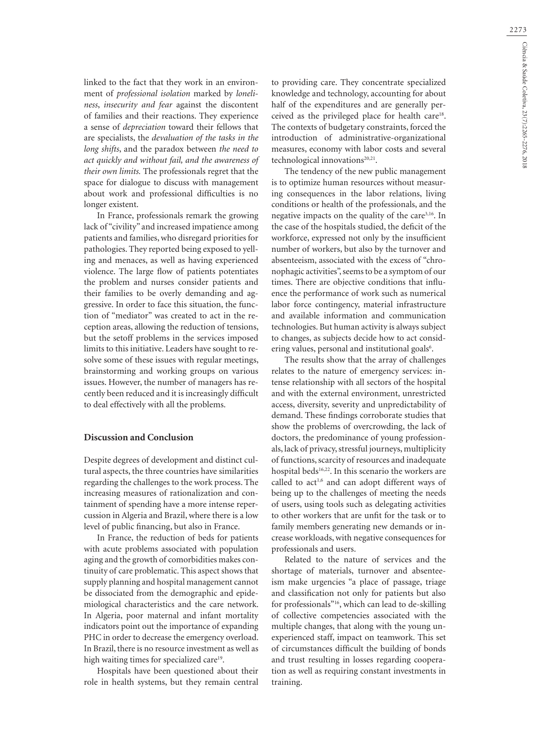linked to the fact that they work in an environment of *professional isolation* marked by *loneliness*, *insecurity and fear* against the discontent of families and their reactions. They experience a sense of *depreciation* toward their fellows that are specialists, the *devaluation of the tasks in the long shifts*, and the paradox between *the need to act quickly and without fail, and the awareness of their own limits.* The professionals regret that the space for dialogue to discuss with management about work and professional difficulties is no longer existent.

In France, professionals remark the growing lack of "civility" and increased impatience among patients and families, who disregard priorities for pathologies. They reported being exposed to yelling and menaces, as well as having experienced violence. The large flow of patients potentiates the problem and nurses consider patients and their families to be overly demanding and aggressive. In order to face this situation, the function of "mediator" was created to act in the reception areas, allowing the reduction of tensions, but the setoff problems in the services imposed limits to this initiative. Leaders have sought to resolve some of these issues with regular meetings, brainstorming and working groups on various issues. However, the number of managers has recently been reduced and it is increasingly difficult to deal effectively with all the problems.

#### **Discussion and Conclusion**

Despite degrees of development and distinct cultural aspects, the three countries have similarities regarding the challenges to the work process. The increasing measures of rationalization and containment of spending have a more intense repercussion in Algeria and Brazil, where there is a low level of public financing, but also in France.

In France, the reduction of beds for patients with acute problems associated with population aging and the growth of comorbidities makes continuity of care problematic. This aspect shows that supply planning and hospital management cannot be dissociated from the demographic and epidemiological characteristics and the care network. In Algeria, poor maternal and infant mortality indicators point out the importance of expanding PHC in order to decrease the emergency overload. In Brazil, there is no resource investment as well as high waiting times for specialized care<sup>19</sup>.

Hospitals have been questioned about their role in health systems, but they remain central

to providing care. They concentrate specialized knowledge and technology, accounting for about half of the expenditures and are generally perceived as the privileged place for health care<sup>18</sup>. The contexts of budgetary constraints, forced the introduction of administrative-organizational measures, economy with labor costs and several technological innovations<sup>20,21</sup>.

The tendency of the new public management is to optimize human resources without measuring consequences in the labor relations, living conditions or health of the professionals, and the negative impacts on the quality of the care<sup>3,16</sup>. In the case of the hospitals studied, the deficit of the workforce, expressed not only by the insufficient number of workers, but also by the turnover and absenteeism, associated with the excess of "chronophagic activities", seems to be a symptom of our times. There are objective conditions that influence the performance of work such as numerical labor force contingency, material infrastructure and available information and communication technologies. But human activity is always subject to changes, as subjects decide how to act considering values, personal and institutional goals<sup>6</sup>.

The results show that the array of challenges relates to the nature of emergency services: intense relationship with all sectors of the hospital and with the external environment, unrestricted access, diversity, severity and unpredictability of demand. These findings corroborate studies that show the problems of overcrowding, the lack of doctors, the predominance of young professionals, lack of privacy, stressful journeys, multiplicity of functions, scarcity of resources and inadequate hospital beds<sup>16,22</sup>. In this scenario the workers are called to  $act<sup>1,6</sup>$  and can adopt different ways of being up to the challenges of meeting the needs of users, using tools such as delegating activities to other workers that are unfit for the task or to family members generating new demands or increase workloads, with negative consequences for professionals and users.

Related to the nature of services and the shortage of materials, turnover and absenteeism make urgencies "a place of passage, triage and classification not only for patients but also for professionals"16, which can lead to de-skilling of collective competencies associated with the multiple changes, that along with the young unexperienced staff, impact on teamwork. This set of circumstances difficult the building of bonds and trust resulting in losses regarding cooperation as well as requiring constant investments in training.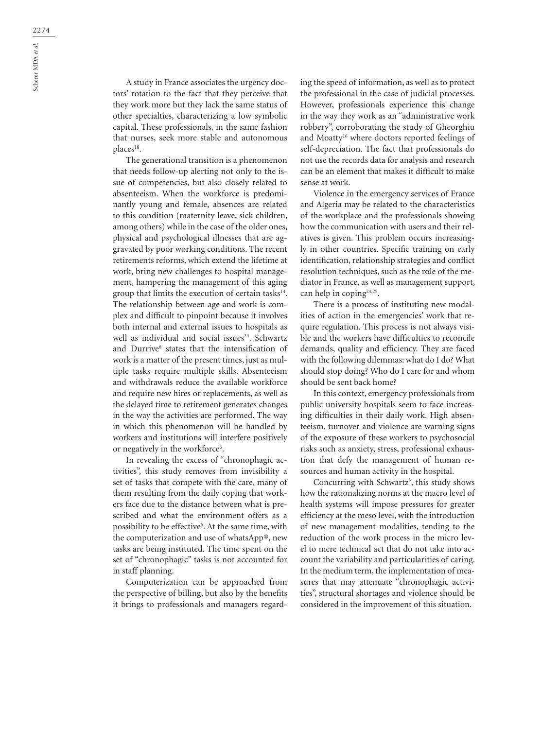A study in France associates the urgency doctors' rotation to the fact that they perceive that they work more but they lack the same status of other specialties, characterizing a low symbolic capital. These professionals, in the same fashion that nurses, seek more stable and autonomous places<sup>18</sup>.

The generational transition is a phenomenon that needs follow-up alerting not only to the issue of competencies, but also closely related to absenteeism. When the workforce is predominantly young and female, absences are related to this condition (maternity leave, sick children, among others) while in the case of the older ones, physical and psychological illnesses that are aggravated by poor working conditions. The recent retirements reforms, which extend the lifetime at work, bring new challenges to hospital management, hampering the management of this aging group that limits the execution of certain tasks<sup>14</sup>. The relationship between age and work is complex and difficult to pinpoint because it involves both internal and external issues to hospitals as well as individual and social issues<sup>23</sup>. Schwartz and Durrive<sup>6</sup> states that the intensification of work is a matter of the present times, just as multiple tasks require multiple skills. Absenteeism and withdrawals reduce the available workforce and require new hires or replacements, as well as the delayed time to retirement generates changes in the way the activities are performed. The way in which this phenomenon will be handled by workers and institutions will interfere positively or negatively in the workforce<sup>6</sup>.

In revealing the excess of "chronophagic activities", this study removes from invisibility a set of tasks that compete with the care, many of them resulting from the daily coping that workers face due to the distance between what is prescribed and what the environment offers as a possibility to be effective<sup>6</sup>. At the same time, with the computerization and use of whatsApp®, new tasks are being instituted. The time spent on the set of "chronophagic" tasks is not accounted for in staff planning.

Computerization can be approached from the perspective of billing, but also by the benefits it brings to professionals and managers regarding the speed of information, as well as to protect the professional in the case of judicial processes. However, professionals experience this change in the way they work as an "administrative work robbery", corroborating the study of Gheorghiu and Moatty16 where doctors reported feelings of self-depreciation. The fact that professionals do not use the records data for analysis and research can be an element that makes it difficult to make sense at work.

Violence in the emergency services of France and Algeria may be related to the characteristics of the workplace and the professionals showing how the communication with users and their relatives is given. This problem occurs increasingly in other countries. Specific training on early identification, relationship strategies and conflict resolution techniques, such as the role of the mediator in France, as well as management support, can help in coping<sup>24,25</sup>.

There is a process of instituting new modalities of action in the emergencies' work that require regulation. This process is not always visible and the workers have difficulties to reconcile demands, quality and efficiency. They are faced with the following dilemmas: what do I do? What should stop doing? Who do I care for and whom should be sent back home?

In this context, emergency professionals from public university hospitals seem to face increasing difficulties in their daily work. High absenteeism, turnover and violence are warning signs of the exposure of these workers to psychosocial risks such as anxiety, stress, professional exhaustion that defy the management of human resources and human activity in the hospital.

Concurring with Schwartz<sup>3</sup>, this study shows how the rationalizing norms at the macro level of health systems will impose pressures for greater efficiency at the meso level, with the introduction of new management modalities, tending to the reduction of the work process in the micro level to mere technical act that do not take into account the variability and particularities of caring. In the medium term, the implementation of measures that may attenuate "chronophagic activities", structural shortages and violence should be considered in the improvement of this situation.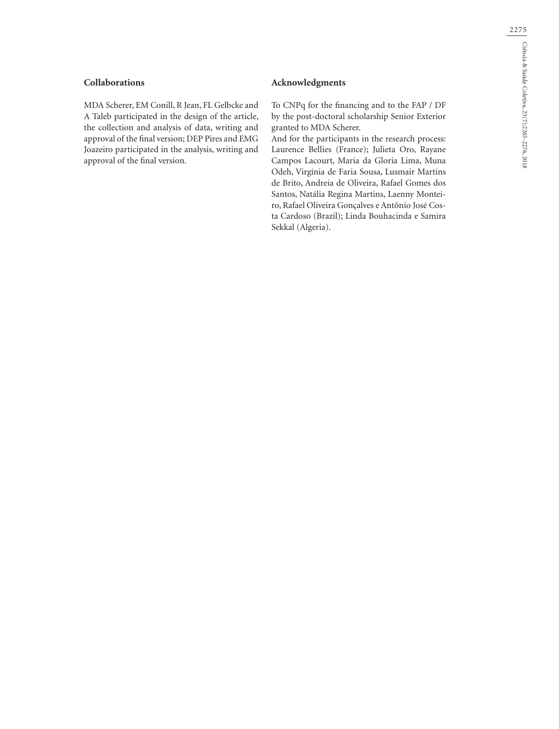# **Collaborations**

MDA Scherer, EM Conill, R Jean, FL Gelbcke and A Taleb participated in the design of the article, the collection and analysis of data, writing and approval of the final version; DEP Pires and EMG Joazeiro participated in the analysis, writing and approval of the final version.

# **Acknowledgments**

To CNPq for the financing and to the FAP / DF by the post-doctoral scholarship Senior Exterior granted to MDA Scherer.

And for the participants in the research process: Laurence Bellies (France); Julieta Oro, Rayane Campos Lacourt, Maria da Gloria Lima, Muna Odeh, Virgínia de Faria Sousa, Lusmair Martins de Brito, Andreia de Oliveira, Rafael Gomes dos Santos, Natália Regina Martins, Laenny Monteiro, Rafael Oliveira Gonçalves e Antônio José Costa Cardoso (Brazil); Linda Bouhacinda e Samira Sekkal (Algeria).